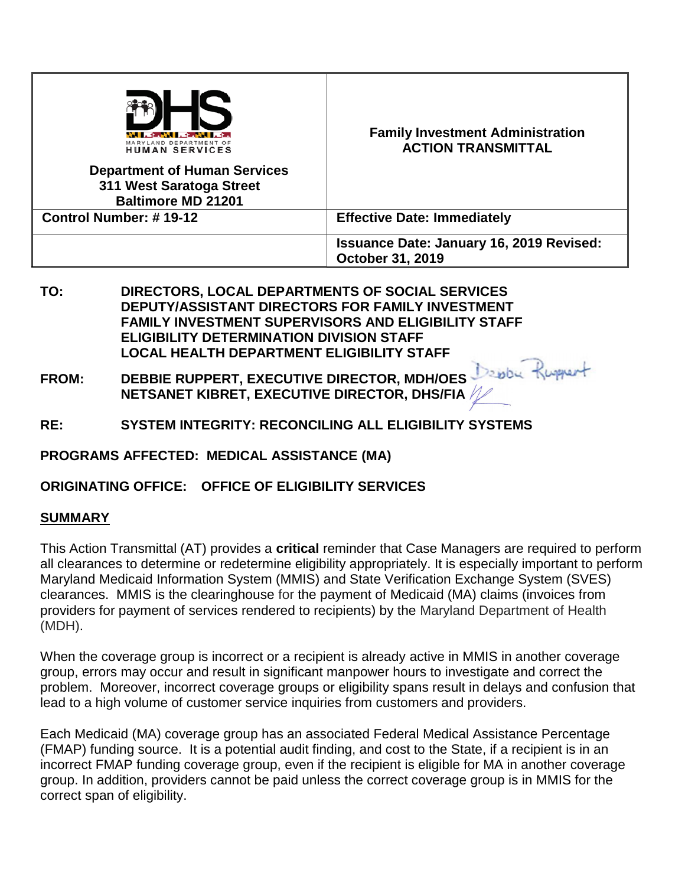| LAND DEPARTMENT OF<br>HUMAN SERVICES<br><b>Department of Human Services</b><br>311 West Saratoga Street<br><b>Baltimore MD 21201</b> | <b>Family Investment Administration</b><br><b>ACTION TRANSMITTAL</b>       |
|--------------------------------------------------------------------------------------------------------------------------------------|----------------------------------------------------------------------------|
| Control Number: #19-12                                                                                                               | <b>Effective Date: Immediately</b>                                         |
|                                                                                                                                      | <b>Issuance Date: January 16, 2019 Revised:</b><br><b>October 31, 2019</b> |

- **TO: DIRECTORS, LOCAL DEPARTMENTS OF SOCIAL SERVICES DEPUTY/ASSISTANT DIRECTORS FOR FAMILY INVESTMENT FAMILY INVESTMENT SUPERVISORS AND ELIGIBILITY STAFF ELIGIBILITY DETERMINATION DIVISION STAFF LOCAL HEALTH DEPARTMENT ELIGIBILITY STAFF**
- **FROM: DEBBIE RUPPERT, EXECUTIVE DIRECTOR, MDH/OES NETSANET KIBRET, EXECUTIVE DIRECTOR, DHS/FIA**
- **RE: SYSTEM INTEGRITY: RECONCILING ALL ELIGIBILITY SYSTEMS**

**PROGRAMS AFFECTED: MEDICAL ASSISTANCE (MA)**

**ORIGINATING OFFICE: OFFICE OF ELIGIBILITY SERVICES**

### **SUMMARY**

This Action Transmittal (AT) provides a **critical** reminder that Case Managers are required to perform all clearances to determine or redetermine eligibility appropriately. It is especially important to perform Maryland Medicaid Information System (MMIS) and State Verification Exchange System (SVES) clearances. MMIS is the clearinghouse for the payment of Medicaid (MA) claims (invoices from providers for payment of services rendered to recipients) by the Maryland Department of Health (MDH).

When the coverage group is incorrect or a recipient is already active in MMIS in another coverage group, errors may occur and result in significant manpower hours to investigate and correct the problem. Moreover, incorrect coverage groups or eligibility spans result in delays and confusion that lead to a high volume of customer service inquiries from customers and providers.

Each Medicaid (MA) coverage group has an associated Federal Medical Assistance Percentage (FMAP) funding source. It is a potential audit finding, and cost to the State, if a recipient is in an incorrect FMAP funding coverage group, even if the recipient is eligible for MA in another coverage group. In addition, providers cannot be paid unless the correct coverage group is in MMIS for the correct span of eligibility.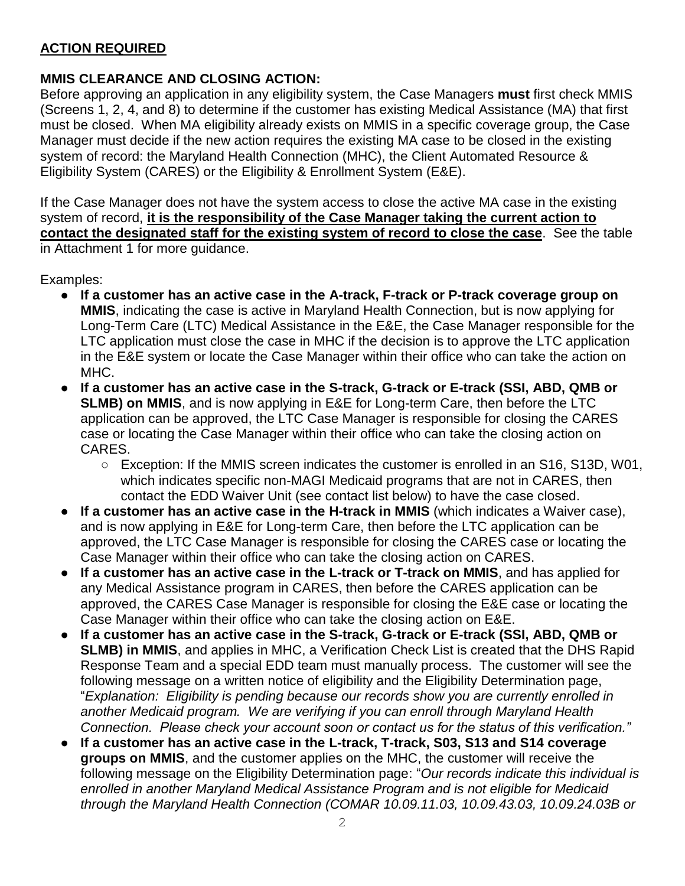# **ACTION REQUIRED**

# **MMIS CLEARANCE AND CLOSING ACTION:**

Before approving an application in any eligibility system, the Case Managers **must** first check MMIS (Screens 1, 2, 4, and 8) to determine if the customer has existing Medical Assistance (MA) that first must be closed. When MA eligibility already exists on MMIS in a specific coverage group, the Case Manager must decide if the new action requires the existing MA case to be closed in the existing system of record: the Maryland Health Connection (MHC), the Client Automated Resource & Eligibility System (CARES) or the Eligibility & Enrollment System (E&E).

If the Case Manager does not have the system access to close the active MA case in the existing system of record, **it is the responsibility of the Case Manager taking the current action to contact the designated staff for the existing system of record to close the case**. See the table in Attachment 1 for more guidance.

Examples:

- **If a customer has an active case in the A-track, F-track or P-track coverage group on MMIS**, indicating the case is active in Maryland Health Connection, but is now applying for Long-Term Care (LTC) Medical Assistance in the E&E, the Case Manager responsible for the LTC application must close the case in MHC if the decision is to approve the LTC application in the E&E system or locate the Case Manager within their office who can take the action on MHC.
- **If a customer has an active case in the S-track, G-track or E-track (SSI, ABD, QMB or SLMB) on MMIS**, and is now applying in E&E for Long-term Care, then before the LTC application can be approved, the LTC Case Manager is responsible for closing the CARES case or locating the Case Manager within their office who can take the closing action on CARES.
	- Exception: If the MMIS screen indicates the customer is enrolled in an S16, S13D, W01, which indicates specific non-MAGI Medicaid programs that are not in CARES, then contact the EDD Waiver Unit (see contact list below) to have the case closed.
- **If a customer has an active case in the H-track in MMIS** (which indicates a Waiver case), and is now applying in E&E for Long-term Care, then before the LTC application can be approved, the LTC Case Manager is responsible for closing the CARES case or locating the Case Manager within their office who can take the closing action on CARES.
- **If a customer has an active case in the L-track or T-track on MMIS**, and has applied for any Medical Assistance program in CARES, then before the CARES application can be approved, the CARES Case Manager is responsible for closing the E&E case or locating the Case Manager within their office who can take the closing action on E&E.
- If a customer has an active case in the S-track, G-track or E-track (SSI, ABD, QMB or **SLMB) in MMIS**, and applies in MHC, a Verification Check List is created that the DHS Rapid Response Team and a special EDD team must manually process. The customer will see the following message on a written notice of eligibility and the Eligibility Determination page, "*Explanation: Eligibility is pending because our records show you are currently enrolled in another Medicaid program. We are verifying if you can enroll through Maryland Health Connection. Please check your account soon or contact us for the status of this verification."*
- If a customer has an active case in the L-track, T-track, S03, S13 and S14 coverage **groups on MMIS**, and the customer applies on the MHC, the customer will receive the following message on the Eligibility Determination page: "*Our records indicate this individual is enrolled in another Maryland Medical Assistance Program and is not eligible for Medicaid through the Maryland Health Connection (COMAR 10.09.11.03, 10.09.43.03, 10.09.24.03B or*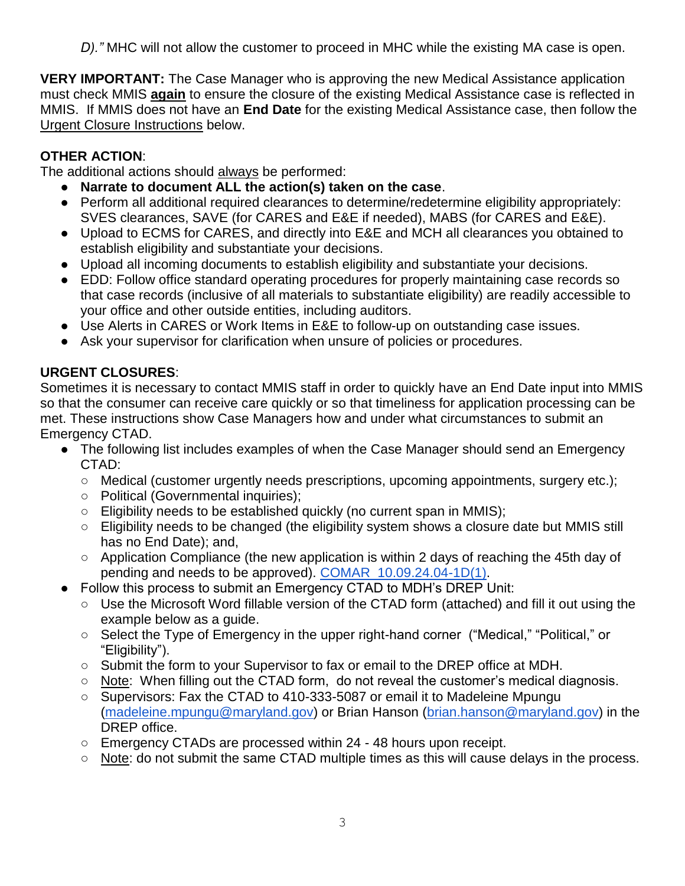*D)."* MHC will not allow the customer to proceed in MHC while the existing MA case is open.

**VERY IMPORTANT:** The Case Manager who is approving the new Medical Assistance application must check MMIS **again** to ensure the closure of the existing Medical Assistance case is reflected in MMIS. If MMIS does not have an **End Date** for the existing Medical Assistance case, then follow the Urgent Closure Instructions below.

## **OTHER ACTION**:

The additional actions should always be performed:

- **Narrate to document ALL the action(s) taken on the case**.
- Perform all additional required clearances to determine/redetermine eligibility appropriately: SVES clearances, SAVE (for CARES and E&E if needed), MABS (for CARES and E&E).
- Upload to ECMS for CARES, and directly into E&E and MCH all clearances you obtained to establish eligibility and substantiate your decisions.
- Upload all incoming documents to establish eligibility and substantiate your decisions.
- EDD: Follow office standard operating procedures for properly maintaining case records so that case records (inclusive of all materials to substantiate eligibility) are readily accessible to your office and other outside entities, including auditors.
- Use Alerts in CARES or Work Items in E&E to follow-up on outstanding case issues.
- Ask your supervisor for clarification when unsure of policies or procedures.

# **URGENT CLOSURES**:

Sometimes it is necessary to contact MMIS staff in order to quickly have an End Date input into MMIS so that the consumer can receive care quickly or so that timeliness for application processing can be met. These instructions show Case Managers how and under what circumstances to submit an Emergency CTAD.

- The following list includes examples of when the Case Manager should send an Emergency CTAD:
	- Medical (customer urgently needs prescriptions, upcoming appointments, surgery etc.);
	- Political (Governmental inquiries);
	- Eligibility needs to be established quickly (no current span in MMIS);
	- Eligibility needs to be changed (the eligibility system shows a closure date but MMIS still has no End Date); and,
	- Application Compliance (the new application is within 2 days of reaching the 45th day of pending and needs to be approved). [COMAR 10.09.24.04-1D\(1\).](http://www.dsd.state.md.us/comar/comarhtml/10/10.09.24.04-1.htm)
- Follow this process to submit an Emergency CTAD to MDH's DREP Unit:
	- Use the Microsoft Word fillable version of the CTAD form (attached) and fill it out using the example below as a guide.
	- Select the Type of Emergency in the upper right-hand corner ("Medical," "Political," or "Eligibility").
	- Submit the form to your Supervisor to fax or email to the DREP office at MDH.
	- Note: When filling out the CTAD form, do not reveal the customer's medical diagnosis.
	- Supervisors: Fax the CTAD to 410-333-5087 or email it to Madeleine Mpungu [\(madeleine.mpungu@maryland.gov\)](mailto:madeleine.mpungu@maryland.gov) or Brian Hanson [\(brian.hanson@maryland.gov\)](mailto:brian.hanson@maryland.gov) in the DREP office.
	- $\circ$  Emergency CTADs are processed within 24 48 hours upon receipt.
	- Note: do not submit the same CTAD multiple times as this will cause delays in the process.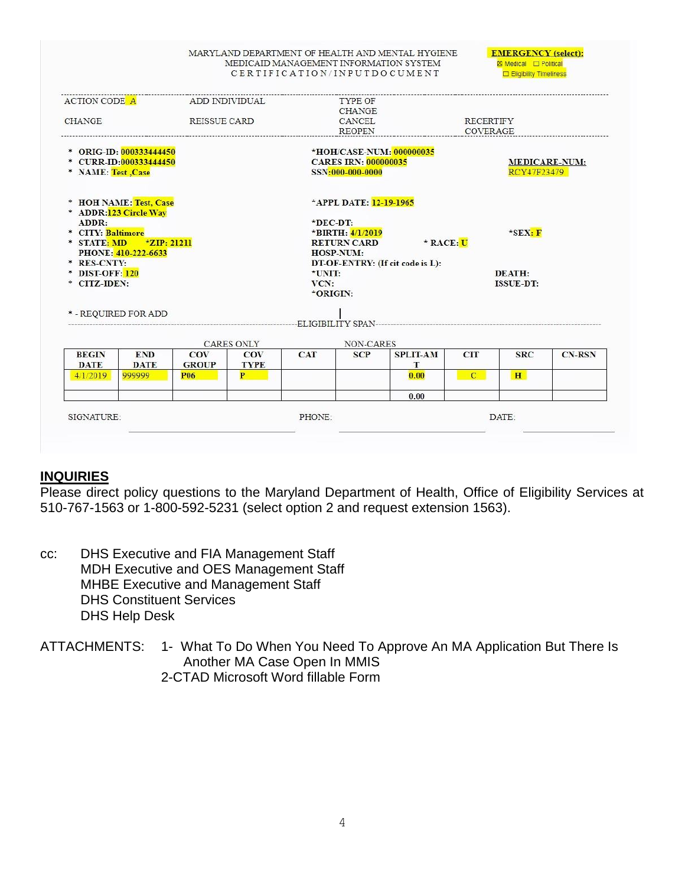#### MARYLAND DEPARTMENT OF HEALTH AND MENTAL HYGIENE MEDICAID MANAGEMENT INFORMATION SYSTEM CERTIFICATION/INPUTDOCUMENT

**EMERGENCY** (select): **EX Medical** □ Political **Eligibility Timeliness** 

|                                                                         | ADD INDIVIDUAL<br><b>ACTION CODE A</b> |                 |                   |                                                                             | <b>TYPE OF</b><br><b>CHANGE</b>                                |                 |                  |                                     |               |  |
|-------------------------------------------------------------------------|----------------------------------------|-----------------|-------------------|-----------------------------------------------------------------------------|----------------------------------------------------------------|-----------------|------------------|-------------------------------------|---------------|--|
| <b>CHANGE</b><br>REISSUE CARD                                           |                                        |                 |                   |                                                                             | CANCEL                                                         |                 | <b>RECERTIFY</b> |                                     |               |  |
|                                                                         |                                        |                 |                   | <b>REOPEN</b>                                                               |                                                                | COVERAGE        |                  |                                     |               |  |
| * ORIG-ID: 000333444450<br>* CURR-ID:000333444450<br>* NAME: Test, Case |                                        |                 |                   | *HOH/CASE-NUM: 000000035<br><b>CARES IRN: 000000035</b><br>SSN:000-000-0000 |                                                                |                 |                  | <b>MEDICARE-NUM:</b><br>RCY47F23479 |               |  |
| * HOH NAME: Test, Case<br>* ADDR: 123 Circle Way                        |                                        |                 |                   |                                                                             | *APPL DATE: 12-19-1965                                         |                 |                  |                                     |               |  |
| ADDR:                                                                   |                                        |                 |                   | $E$ DEC-DT:                                                                 |                                                                |                 |                  |                                     |               |  |
| * CITY: Baltimore                                                       |                                        |                 |                   |                                                                             | *BIRTH: 4/1/2019                                               |                 |                  | $*$ <b>SEX: F</b>                   |               |  |
| * STATE: MD                                                             | $\star$ ZIP: 21211                     |                 |                   |                                                                             | <b>RETURN CARD</b>                                             | $*$ RACE: U     |                  |                                     |               |  |
| PHONE: 410-222-6633<br>* RES-CNTY:                                      |                                        |                 |                   |                                                                             | HOSP-NUM:<br>DT-OF-ENTRY: (If cit code is L):<br><b>DEATH:</b> |                 |                  |                                     |               |  |
| * DIST-OFF: 120                                                         |                                        |                 |                   | *UNIT:                                                                      |                                                                |                 |                  |                                     |               |  |
| * CITZ-IDEN:                                                            |                                        |                 |                   | VCN:                                                                        |                                                                |                 |                  | <b>ISSUE-DT:</b>                    |               |  |
|                                                                         |                                        |                 |                   | *ORIGIN:                                                                    |                                                                |                 |                  |                                     |               |  |
| * - REQUIRED FOR ADD                                                    |                                        |                 |                   |                                                                             |                                                                |                 |                  |                                     |               |  |
|                                                                         |                                        |                 | <b>CARES ONLY</b> |                                                                             | NON-CARES                                                      |                 |                  |                                     |               |  |
| <b>BEGIN</b>                                                            | <b>END</b>                             | <b>COV</b>      | <b>COV</b>        | <b>CAT</b>                                                                  | <b>SCP</b>                                                     | <b>SPLIT-AM</b> | <b>CIT</b>       | <b>SRC</b>                          | <b>CN-RSN</b> |  |
| <b>DATE</b>                                                             | <b>DATE</b>                            | <b>GROUP</b>    | <b>TYPE</b>       |                                                                             |                                                                | T               |                  |                                     |               |  |
| 4/1/2019                                                                | 999999                                 | P <sub>06</sub> | P                 |                                                                             |                                                                | 0.00            | $\mathbf{C}$     | H                                   |               |  |
|                                                                         |                                        |                 |                   |                                                                             |                                                                | 0.00            |                  |                                     |               |  |
| SIGNATURE:                                                              |                                        |                 |                   | PHONE:                                                                      |                                                                |                 |                  | DATE:                               |               |  |
|                                                                         |                                        |                 |                   |                                                                             |                                                                |                 |                  |                                     |               |  |

### **INQUIRIES**

Please direct policy questions to the Maryland Department of Health, Office of Eligibility Services at 510-767-1563 or 1-800-592-5231 (select option 2 and request extension 1563).

- cc: DHS Executive and FIA Management Staff MDH Executive and OES Management Staff MHBE Executive and Management Staff DHS Constituent Services DHS Help Desk
- ATTACHMENTS: 1- What To Do When You Need To Approve An MA Application But There Is Another MA Case Open In MMIS 2-CTAD Microsoft Word fillable Form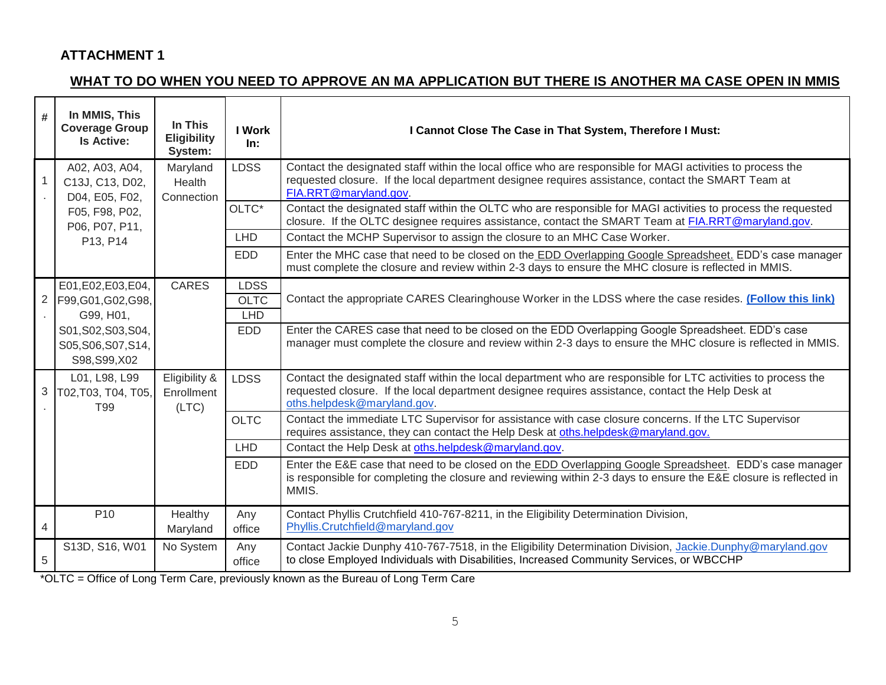### **ATTACHMENT 1**

# **WHAT TO DO WHEN YOU NEED TO APPROVE AN MA APPLICATION BUT THERE IS ANOTHER MA CASE OPEN IN MMIS**

| #              | In MMIS, This<br><b>Coverage Group</b><br><b>Is Active:</b> | In This<br><b>Eligibility</b><br>System: | <b>I</b> Work<br>In:                     | I Cannot Close The Case in That System, Therefore I Must:                                                                                                                                                                                          |
|----------------|-------------------------------------------------------------|------------------------------------------|------------------------------------------|----------------------------------------------------------------------------------------------------------------------------------------------------------------------------------------------------------------------------------------------------|
|                | A02, A03, A04,<br>C13J, C13, D02,<br>D04, E05, F02,         | Maryland<br>Health<br>Connection         | <b>LDSS</b>                              | Contact the designated staff within the local office who are responsible for MAGI activities to process the<br>requested closure. If the local department designee requires assistance, contact the SMART Team at<br>FIA.RRT@maryland.gov.         |
|                | F05, F98, P02,<br>P06, P07, P11,                            |                                          | OLTC*                                    | Contact the designated staff within the OLTC who are responsible for MAGI activities to process the requested<br>closure. If the OLTC designee requires assistance, contact the SMART Team at FIA.RRT@maryland.gov.                                |
|                | P13, P14                                                    |                                          | LHD                                      | Contact the MCHP Supervisor to assign the closure to an MHC Case Worker.                                                                                                                                                                           |
|                |                                                             |                                          | <b>EDD</b>                               | Enter the MHC case that need to be closed on the EDD Overlapping Google Spreadsheet. EDD's case manager<br>must complete the closure and review within 2-3 days to ensure the MHC closure is reflected in MMIS.                                    |
| $\overline{2}$ | E01, E02, E03, E04,<br>F99, G01, G02, G98,<br>G99, H01,     | <b>CARES</b>                             | <b>LDSS</b><br><b>OLTC</b><br><b>LHD</b> | Contact the appropriate CARES Clearinghouse Worker in the LDSS where the case resides. (Follow this link)                                                                                                                                          |
|                | S01, S02, S03, S04,<br>S05, S06, S07, S14,<br>S98, S99, X02 |                                          | <b>EDD</b>                               | Enter the CARES case that need to be closed on the EDD Overlapping Google Spreadsheet. EDD's case<br>manager must complete the closure and review within 2-3 days to ensure the MHC closure is reflected in MMIS.                                  |
| 3              | L01, L98, L99<br>T02, T03, T04, T05,<br>T <sub>99</sub>     | Eligibility &<br>Enrollment<br>(LTC)     | <b>LDSS</b>                              | Contact the designated staff within the local department who are responsible for LTC activities to process the<br>requested closure. If the local department designee requires assistance, contact the Help Desk at<br>oths.helpdesk@maryland.gov. |
|                |                                                             |                                          | <b>OLTC</b>                              | Contact the immediate LTC Supervisor for assistance with case closure concerns. If the LTC Supervisor<br>requires assistance, they can contact the Help Desk at oths.helpdesk@maryland.gov.                                                        |
|                |                                                             |                                          | <b>LHD</b>                               | Contact the Help Desk at oths.helpdesk@maryland.gov.                                                                                                                                                                                               |
|                |                                                             |                                          | <b>EDD</b>                               | Enter the E&E case that need to be closed on the EDD Overlapping Google Spreadsheet. EDD's case manager<br>is responsible for completing the closure and reviewing within 2-3 days to ensure the E&E closure is reflected in<br>MMIS.              |
| $\overline{4}$ | P <sub>10</sub>                                             | Healthy<br>Maryland                      | Any<br>office                            | Contact Phyllis Crutchfield 410-767-8211, in the Eligibility Determination Division,<br>Phyllis.Crutchfield@maryland.gov                                                                                                                           |
| $\sqrt{5}$     | S13D, S16, W01                                              | No System                                | Any<br>office                            | Contact Jackie Dunphy 410-767-7518, in the Eligibility Determination Division, Jackie.Dunphy@maryland.gov<br>to close Employed Individuals with Disabilities, Increased Community Services, or WBCCHP                                              |

\*OLTC = Office of Long Term Care, previously known as the Bureau of Long Term Care